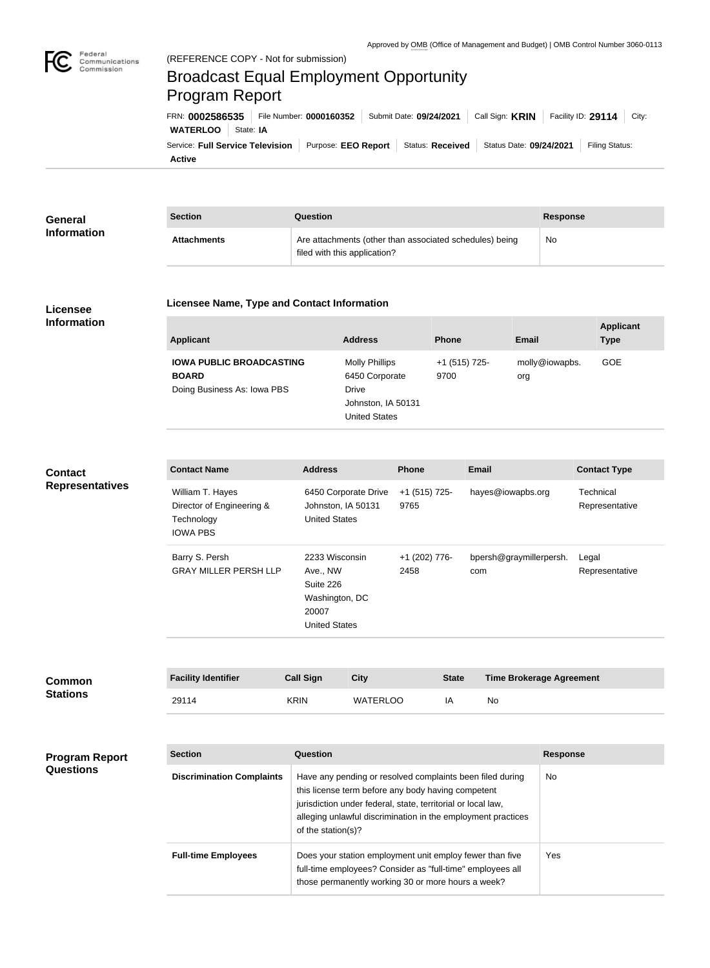

## Broadcast Equal Employment Opportunity Program Report

**Active** Service: Full Service Television | Purpose: EEO Report | Status: Received | Status Date: 09/24/2021 | Filing Status: **WATERLOO** State: **IA** FRN: **0002586535** File Number: **0000160352** Submit Date: **09/24/2021** Call Sign: **KRIN** Facility ID: **29114** City:

| General<br><b>Information</b> | <b>Section</b>     | Question                                                                                | Response |
|-------------------------------|--------------------|-----------------------------------------------------------------------------------------|----------|
|                               | <b>Attachments</b> | Are attachments (other than associated schedules) being<br>filed with this application? | No       |

## **Licensee Information**

## **Licensee Name, Type and Contact Information**

| <b>Applicant</b>                                                               | <b>Address</b>                                                                                 | <b>Phone</b>          | Email                 | <b>Applicant</b><br><b>Type</b> |
|--------------------------------------------------------------------------------|------------------------------------------------------------------------------------------------|-----------------------|-----------------------|---------------------------------|
| <b>IOWA PUBLIC BROADCASTING</b><br><b>BOARD</b><br>Doing Business As: Iowa PBS | <b>Molly Phillips</b><br>6450 Corporate<br>Drive<br>Johnston, IA 50131<br><b>United States</b> | +1 (515) 725-<br>9700 | molly@iowapbs.<br>org | <b>GOE</b>                      |

## **Contact Representatives**

| <b>Contact Name</b>                                                            | <b>Address</b>                                                                             | <b>Phone</b>          | Email                          | <b>Contact Type</b>         |
|--------------------------------------------------------------------------------|--------------------------------------------------------------------------------------------|-----------------------|--------------------------------|-----------------------------|
| William T. Hayes<br>Director of Engineering &<br>Technology<br><b>IOWA PBS</b> | 6450 Corporate Drive<br>Johnston, IA 50131<br><b>United States</b>                         | +1 (515) 725-<br>9765 | hayes@iowapbs.org              | Technical<br>Representative |
| Barry S. Persh<br><b>GRAY MILLER PERSH LLP</b>                                 | 2233 Wisconsin<br>Ave., NW<br>Suite 226<br>Washington, DC<br>20007<br><b>United States</b> | +1 (202) 776-<br>2458 | bpersh@graymillerpersh.<br>com | Legal<br>Representative     |

| <b>Common</b><br><b>Stations</b> | <b>Facility Identifier</b> | <b>Call Sign</b> | City            | <b>State</b> | <b>Time Brokerage Agreement</b> |
|----------------------------------|----------------------------|------------------|-----------------|--------------|---------------------------------|
|                                  | 29114                      | <b>KRIN</b>      | <b>WATERLOO</b> | ΙA           | No                              |

| <b>Program Report</b><br><b>Questions</b> | <b>Section</b>                   | Question                                                                                                                                                                                                                                                              | <b>Response</b> |
|-------------------------------------------|----------------------------------|-----------------------------------------------------------------------------------------------------------------------------------------------------------------------------------------------------------------------------------------------------------------------|-----------------|
|                                           | <b>Discrimination Complaints</b> | Have any pending or resolved complaints been filed during<br>this license term before any body having competent<br>jurisdiction under federal, state, territorial or local law,<br>alleging unlawful discrimination in the employment practices<br>of the station(s)? | No.             |
|                                           | <b>Full-time Employees</b>       | Does your station employment unit employ fewer than five<br>full-time employees? Consider as "full-time" employees all<br>those permanently working 30 or more hours a week?                                                                                          | Yes             |